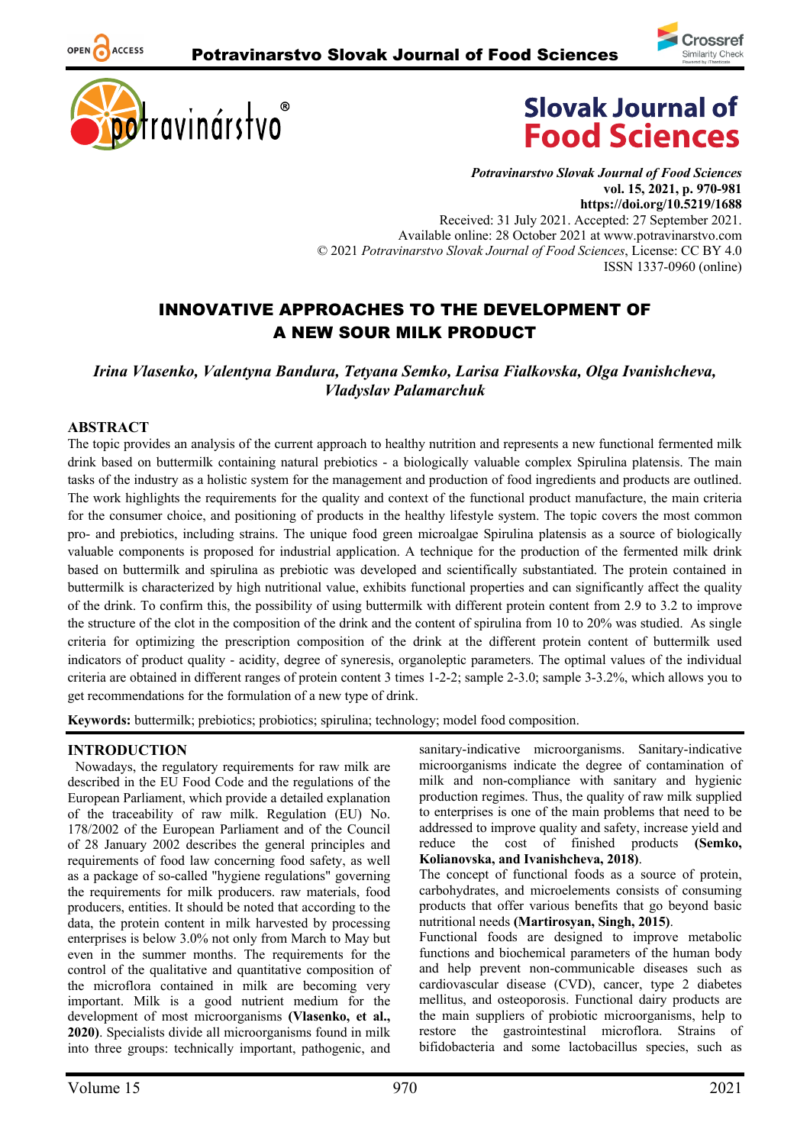





*Potravinarstvo Slovak Journal of Food Sciences* **vol. 15, 2021, p. 970-981 https://doi.org/10.5219/1688** Received: 31 July 2021. Accepted: 27 September 2021. Available online: 28 October 2021 at www.potravinarstvo.com © 2021 *Potravinarstvo Slovak Journal of Food Sciences*, License: CC BY 4.0 ISSN 1337-0960 (online)

# INNOVATIVE APPROACHES TO THE DEVELOPMENT OF A NEW SOUR MILK PRODUCT

*Irina Vlasenko, Valentyna Bandura, Tetyana Semko, Larisa Fialkovska, Olga Ivanishcheva, Vladyslav Palamarchuk*

#### **ABSTRACT**

OPEN ACCESS

The topic provides an analysis of the current approach to healthy nutrition and represents a new functional fermented milk drink based on buttermilk containing natural prebiotics - a biologically valuable complex Spirulina platensis. The main tasks of the industry as a holistic system for the management and production of food ingredients and products are outlined. The work highlights the requirements for the quality and context of the functional product manufacture, the main criteria for the consumer choice, and positioning of products in the healthy lifestyle system. The topic covers the most common pro- and prebiotics, including strains. The unique food green microalgae Spirulina platensis as a source of biologically valuable components is proposed for industrial application. A technique for the production of the fermented milk drink based on buttermilk and spirulina as prebiotic was developed and scientifically substantiated. The protein contained in buttermilk is characterized by high nutritional value, exhibits functional properties and can significantly affect the quality of the drink. To confirm this, the possibility of using buttermilk with different protein content from 2.9 to 3.2 to improve the structure of the clot in the composition of the drink and the content of spirulina from 10 to 20% was studied. As single criteria for optimizing the prescription composition of the drink at the different protein content of buttermilk used indicators of product quality - acidity, degree of syneresis, organoleptic parameters. The optimal values of the individual criteria are obtained in different ranges of protein content 3 times 1-2-2; sample 2-3.0; sample 3-3.2%, which allows you to get recommendations for the formulation of a new type of drink.

**Keywords:** buttermilk; prebiotics; probiotics; spirulina; technology; model food composition.

# **INTRODUCTION**

Nowadays, the regulatory requirements for raw milk are described in the EU Food Code and the regulations of the European Parliament, which provide a detailed explanation of the traceability of raw milk. Regulation (EU) No. 178/2002 of the European Parliament and of the Council of 28 January 2002 describes the general principles and requirements of food law concerning food safety, as well as a package of so-called "hygiene regulations" governing the requirements for milk producers. raw materials, food producers, entities. It should be noted that according to the data, the protein content in milk harvested by processing enterprises is below 3.0% not only from March to May but even in the summer months. The requirements for the control of the qualitative and quantitative composition of the microflora contained in milk are becoming very important. Milk is a good nutrient medium for the development of most microorganisms **(Vlasenko, et al., 2020)**. Specialists divide all microorganisms found in milk into three groups: technically important, pathogenic, and

sanitary-indicative microorganisms. Sanitary-indicative microorganisms indicate the degree of contamination of milk and non-compliance with sanitary and hygienic production regimes. Thus, the quality of raw milk supplied to enterprises is one of the main problems that need to be addressed to improve quality and safety, increase yield and reduce the cost of finished products **(Semko, Kolianovska, and Ivanishcheva, 2018)**.

The concept of functional foods as a source of protein, carbohydrates, and microelements consists of consuming products that offer various benefits that go beyond basic nutritional needs **(Martirosyan, Singh, 2015)**.

Functional foods are designed to improve metabolic functions and biochemical parameters of the human body and help prevent non-communicable diseases such as cardiovascular disease (CVD), cancer, type 2 diabetes mellitus, and osteoporosis. Functional dairy products are the main suppliers of probiotic microorganisms, help to restore the gastrointestinal microflora. Strains of bifidobacteria and some lactobacillus species, such as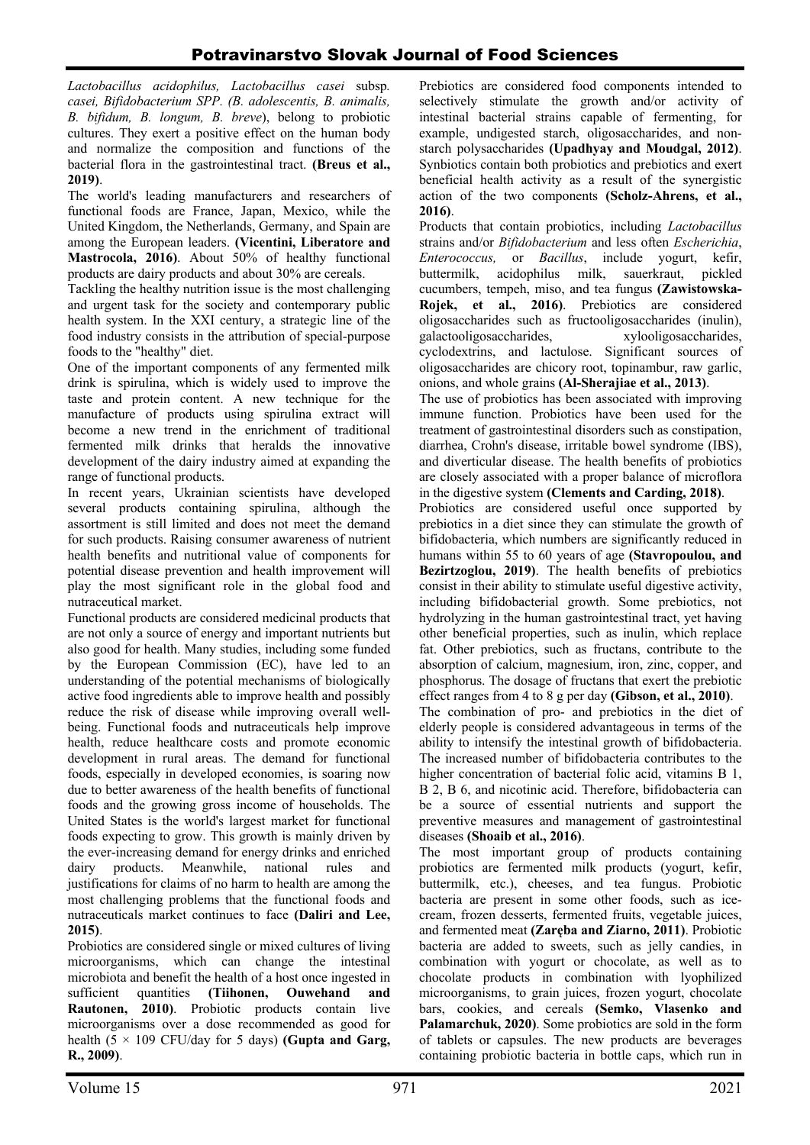*Lactobacillus acidophilus, Lactobacillus casei* subsp*. casei, Bifidobacterium SPP. (B. adolescentis, B. animalis, B. bifidum, B. longum, B. breve*), belong to probiotic cultures. They exert a positive effect on the human body and normalize the composition and functions of the bacterial flora in the gastrointestinal tract. **(Breus et al., 2019)**.

The world's leading manufacturers and researchers of functional foods are France, Japan, Mexico, while the United Kingdom, the Netherlands, Germany, and Spain are among the European leaders. **(Vicentini, Liberatore and Mastrocola, 2016)**. About 50% of healthy functional products are dairy products and about 30% are cereals.

Tackling the healthy nutrition issue is the most challenging and urgent task for the society and contemporary public health system. In the XXI century, a strategic line of the food industry consists in the attribution of special-purpose foods to the "healthy" diet.

One of the important components of any fermented milk drink is spirulina, which is widely used to improve the taste and protein content. A new technique for the manufacture of products using spirulina extract will become a new trend in the enrichment of traditional fermented milk drinks that heralds the innovative development of the dairy industry aimed at expanding the range of functional products.

In recent years, Ukrainian scientists have developed several products containing spirulina, although the assortment is still limited and does not meet the demand for such products. Raising consumer awareness of nutrient health benefits and nutritional value of components for potential disease prevention and health improvement will play the most significant role in the global food and nutraceutical market.

Functional products are considered medicinal products that are not only a source of energy and important nutrients but also good for health. Many studies, including some funded by the European Commission (EC), have led to an understanding of the potential mechanisms of biologically active food ingredients able to improve health and possibly reduce the risk of disease while improving overall wellbeing. Functional foods and nutraceuticals help improve health, reduce healthcare costs and promote economic development in rural areas. The demand for functional foods, especially in developed economies, is soaring now due to better awareness of the health benefits of functional foods and the growing gross income of households. The United States is the world's largest market for functional foods expecting to grow. This growth is mainly driven by the ever-increasing demand for energy drinks and enriched dairy products. Meanwhile, national rules and justifications for claims of no harm to health are among the most challenging problems that the functional foods and nutraceuticals market continues to face **(Daliri and Lee, 2015)**.

Probiotics are considered single or mixed cultures of living microorganisms, which can change the intestinal microbiota and benefit the health of a host once ingested in sufficient quantities **(Tiihonen, Ouwehand and Rautonen, 2010)**. Probiotic products contain live microorganisms over a dose recommended as good for health  $(5 \times 109 \text{ CFU/day}$  for 5 days) **(Gupta and Garg, R., 2009)**.

Prebiotics are considered food components intended to selectively stimulate the growth and/or activity of intestinal bacterial strains capable of fermenting, for example, undigested starch, oligosaccharides, and nonstarch polysaccharides **(Upadhyay and Moudgal, 2012)**. Synbiotics contain both probiotics and prebiotics and exert beneficial health activity as a result of the synergistic action of the two components **(Scholz-Ahrens, et al., 2016)**.

Products that contain probiotics, including *Lactobacillus* strains and/or *Bifidobacterium* and less often *Escherichia*, *Enterococcus,* or *Bacillus*, include yogurt, kefir, buttermilk, acidophilus milk, sauerkraut, pickled cucumbers, tempeh, miso, and tea fungus **(Zawistowska-Rojek, et al., 2016)**. Prebiotics are considered oligosaccharides such as fructooligosaccharides (inulin), galactooligosaccharides, xylooligosaccharides, cyclodextrins, and lactulose. Significant sources of oligosaccharides are chicory root, topinambur, raw garlic, onions, and whole grains **(Al-Sherajiae et al., 2013)**.

The use of probiotics has been associated with improving immune function. Probiotics have been used for the treatment of gastrointestinal disorders such as constipation, diarrhea, Crohn's disease, irritable bowel syndrome (IBS), and diverticular disease. The health benefits of probiotics are closely associated with a proper balance of microflora in the digestive system **(Clements and Carding, 2018)**.

Probiotics are considered useful once supported by prebiotics in a diet since they can stimulate the growth of bifidobacteria, which numbers are significantly reduced in humans within 55 to 60 years of age **(Stavropoulou, and Bezirtzoglou, 2019)**. The health benefits of prebiotics consist in their ability to stimulate useful digestive activity, including bifidobacterial growth. Some prebiotics, not hydrolyzing in the human gastrointestinal tract, yet having other beneficial properties, such as inulin, which replace fat. Other prebiotics, such as fructans, contribute to the absorption of calcium, magnesium, iron, zinc, copper, and phosphorus. The dosage of fructans that exert the prebiotic effect ranges from 4 to 8 g per day **(Gibson, et al., 2010)**.

The combination of pro- and prebiotics in the diet of elderly people is considered advantageous in terms of the ability to intensify the intestinal growth of bifidobacteria. The increased number of bifidobacteria contributes to the higher concentration of bacterial folic acid, vitamins B 1, B 2, B 6, and nicotinic acid. Therefore, bifidobacteria can be a source of essential nutrients and support the preventive measures and management of gastrointestinal diseases **(Shoaib et al., 2016)**.

The most important group of products containing probiotics are fermented milk products (yogurt, kefir, buttermilk, etc.), cheeses, and tea fungus. Probiotic bacteria are present in some other foods, such as icecream, frozen desserts, fermented fruits, vegetable juices, and fermented meat **(Zaręba and Ziarno, 2011)**. Probiotic bacteria are added to sweets, such as jelly candies, in combination with yogurt or chocolate, as well as to chocolate products in combination with lyophilized microorganisms, to grain juices, frozen yogurt, chocolate bars, cookies, and cereals **(Semko, Vlasenko and Palamarchuk, 2020)**. Some probiotics are sold in the form of tablets or capsules. The new products are beverages containing probiotic bacteria in bottle caps, which run in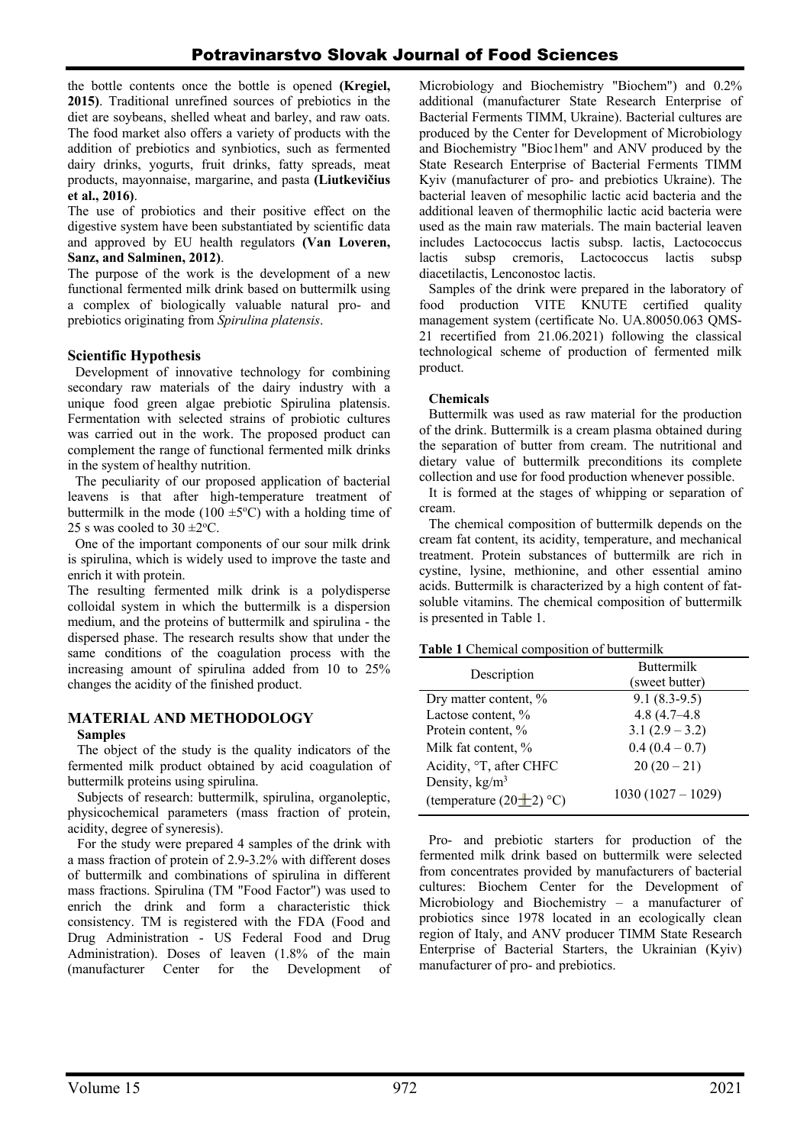the bottle contents once the bottle is opened **(Kregiel, 2015)**. Traditional unrefined sources of prebiotics in the diet are soybeans, shelled wheat and barley, and raw oats. The food market also offers a variety of products with the addition of prebiotics and synbiotics, such as fermented dairy drinks, yogurts, fruit drinks, fatty spreads, meat products, mayonnaise, margarine, and pasta **(Liutkevičius et al., 2016)**.

The use of probiotics and their positive effect on the digestive system have been substantiated by scientific data and approved by EU health regulators **(Van Loveren, Sanz, and Salminen, 2012)**.

The purpose of the work is the development of a new functional fermented milk drink based on buttermilk using a complex of biologically valuable natural pro- and prebiotics originating from *Spirulina platensis*.

# **Scientific Hypothesis**

Development of innovative technology for combining secondary raw materials of the dairy industry with a unique food green algae prebiotic Spirulina platensis. Fermentation with selected strains of probiotic cultures was carried out in the work. The proposed product can complement the range of functional fermented milk drinks in the system of healthy nutrition.

The peculiarity of our proposed application of bacterial leavens is that after high-temperature treatment of buttermilk in the mode (100  $\pm$ 5°C) with a holding time of 25 s was cooled to  $30 \pm 2^{\circ}$ C.

One of the important components of our sour milk drink is spirulina, which is widely used to improve the taste and enrich it with protein.

The resulting fermented milk drink is a polydisperse colloidal system in which the buttermilk is a dispersion medium, and the proteins of buttermilk and spirulina - the dispersed phase. The research results show that under the same conditions of the coagulation process with the increasing amount of spirulina added from 10 to 25% changes the acidity of the finished product.

# **MATERIAL AND METHODOLOGY**

# **Samples**

The object of the study is the quality indicators of the fermented milk product obtained by acid coagulation of buttermilk proteins using spirulina.

Subjects of research: buttermilk, spirulina, organoleptic, physicochemical parameters (mass fraction of protein, acidity, degree of syneresis).

For the study were prepared 4 samples of the drink with a mass fraction of protein of 2.9-3.2% with different doses of buttermilk and combinations of spirulina in different mass fractions. Spirulina (TM "Food Factor") was used to enrich the drink and form a characteristic thick consistency. TM is registered with the FDA (Food and Drug Administration - US Federal Food and Drug Administration). Doses of leaven (1.8% of the main (manufacturer Center for the Development of

Microbiology and Biochemistry "Biochem") and 0.2% additional (manufacturer State Research Enterprise of Bacterial Ferments TIMM, Ukraine). Bacterial cultures are produced by the Center for Development of Microbiology and Biochemistry "Bioc1hem" and ANV produced by the State Research Enterprise of Bacterial Ferments TIMM Kyiv (manufacturer of pro- and prebiotics Ukraine). The bacterial leaven of mesophilic lactic acid bacteria and the additional leaven of thermophilic lactic acid bacteria were used as the main raw materials. The main bacterial leaven includes Lactococcus lactis subsp. lactis, Lactococcus lactis subsp cremoris, Lactococcus lactis subsp diacetilactis, Lenconostoc lactis.

Samples of the drink were prepared in the laboratory of food production VITE KNUTE certified quality management system (certificate No. UA.80050.063 QMS-21 recertified from 21.06.2021) following the classical technological scheme of production of fermented milk product.

### **Chemicals**

Buttermilk was used as raw material for the production of the drink. Buttermilk is a cream plasma obtained during the separation of butter from cream. The nutritional and dietary value of buttermilk preconditions its complete collection and use for food production whenever possible.

It is formed at the stages of whipping or separation of cream.

The chemical composition of buttermilk depends on the cream fat content, its acidity, temperature, and mechanical treatment. Protein substances of buttermilk are rich in cystine, lysine, methionine, and other essential amino acids. Buttermilk is characterized by a high content of fatsoluble vitamins. The chemical composition of buttermilk is presented in Table 1.

**Table 1** Chemical composition of buttermilk

### Description Buttermilk (sweet butter) Dry matter content,  $\%$  9.1 (8.3-9.5) Lactose content,  $\%$  4.8 (4.7–4.8) Protein content,  $\%$  3.1 (2.9 – 3.2) Milk fat content,  $\%$  0.4 (0.4 – 0.7) Acidity,  ${}^{\circ}$ T, after CHFC 20 (20 – 21) Density,  $kg/m<sup>3</sup>$ (temperature  $(20+2)$  °C) 1030 (1027 – 1029)

Pro- and prebiotic starters for production of the fermented milk drink based on buttermilk were selected from concentrates provided by manufacturers of bacterial cultures: Biochem Center for the Development of Microbiology and Biochemistry – a manufacturer of probiotics since 1978 located in an ecologically clean region of Italy, and ANV producer TIMM State Research Enterprise of Bacterial Starters, the Ukrainian (Kyiv) manufacturer of pro- and prebiotics.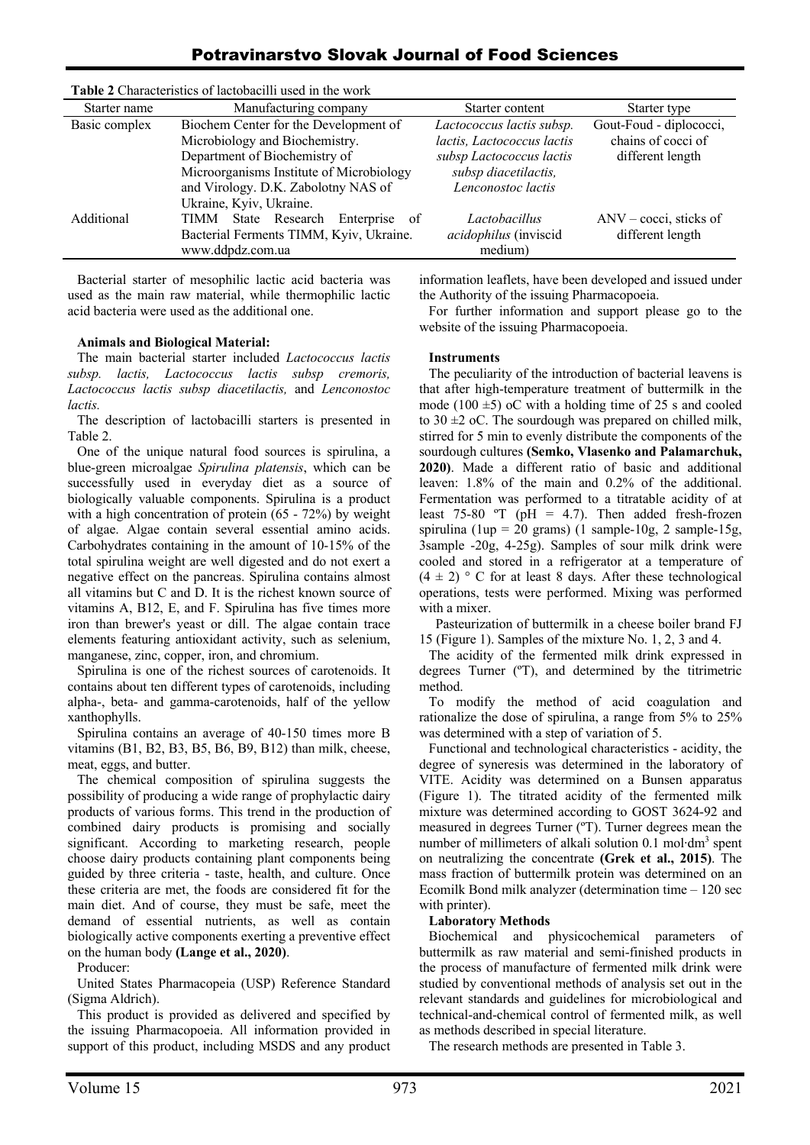# Potravinarstvo Slovak Journal of Food Sciences

| Starter name  | Manufacturing company                    | Starter content            | Starter type                    |
|---------------|------------------------------------------|----------------------------|---------------------------------|
| Basic complex | Biochem Center for the Development of    | Lactococcus lactis subsp.  | Gout-Foud - diplococci,         |
|               | Microbiology and Biochemistry.           | lactis, Lactococcus lactis | chains of cocci of              |
|               | Department of Biochemistry of            | subsp Lactococcus lactis   | different length                |
|               | Microorganisms Institute of Microbiology | subsp diacetilactis,       |                                 |
|               | and Virology. D.K. Zabolotny NAS of      | Lenconostoc lactis         |                                 |
|               | Ukraine, Kyiv, Ukraine.                  |                            |                                 |
| Additional    | TIMM State Research<br>Enterprise of     | Lactobacillus              | $\text{ANV}$ – cocci, sticks of |
|               | Bacterial Ferments TIMM, Kyiv, Ukraine.  | acidophilus (inviscid      | different length                |
|               | www.ddpdz.com.ua                         | medium)                    |                                 |
|               |                                          |                            |                                 |

**Table 2** Characteristics of lactobacilli used in the work

Bacterial starter of mesophilic lactic acid bacteria was used as the main raw material, while thermophilic lactic acid bacteria were used as the additional one.

#### **Animals and Biological Material:**

The main bacterial starter included *Lactococcus lactis subsp. lactis, Lactococcus lactis subsp cremoris, Lactococcus lactis subsp diacetilactis,* and *Lenconostoc lactis.*

The description of lactobacilli starters is presented in Table 2.

One of the unique natural food sources is spirulina, a blue-green microalgae *Spirulina platensis*, which can be successfully used in everyday diet as a source of biologically valuable components. Spirulina is a product with a high concentration of protein (65 - 72%) by weight of algae. Algae contain several essential amino acids. Carbohydrates containing in the amount of 10-15% of the total spirulina weight are well digested and do not exert a negative effect on the pancreas. Spirulina contains almost all vitamins but C and D. It is the richest known source of vitamins A, B12, E, and F. Spirulina has five times more iron than brewer's yeast or dill. The algae contain trace elements featuring antioxidant activity, such as selenium, manganese, zinc, copper, iron, and chromium.

Spirulina is one of the richest sources of carotenoids. It contains about ten different types of carotenoids, including alpha-, beta- and gamma-carotenoids, half of the yellow xanthophylls.

Spirulina contains an average of 40-150 times more B vitamins (B1, B2, B3, B5, B6, B9, B12) than milk, cheese, meat, eggs, and butter.

The chemical composition of spirulina suggests the possibility of producing a wide range of prophylactic dairy products of various forms. This trend in the production of combined dairy products is promising and socially significant. According to marketing research, people choose dairy products containing plant components being guided by three criteria - taste, health, and culture. Once these criteria are met, the foods are considered fit for the main diet. And of course, they must be safe, meet the demand of essential nutrients, as well as contain biologically active components exerting a preventive effect on the human body **(Lange еt al., 2020)**.

Producer:

United States Pharmacopeia (USP) Reference Standard (Sigma Aldrich).

This product is provided as delivered and specified by the issuing Pharmacopoeia. All information provided in support of this product, including MSDS and any product information leaflets, have been developed and issued under the Authority of the issuing Pharmacopoeia.

For further information and support please go to the website of the issuing Pharmacopoeia.

#### **Instruments**

The peculiarity of the introduction of bacterial leavens is that after high-temperature treatment of buttermilk in the mode (100  $\pm$ 5) oC with a holding time of 25 s and cooled to  $30 \pm 2$  oC. The sourdough was prepared on chilled milk, stirred for 5 min to evenly distribute the components of the sourdough cultures **(Semko, Vlasenko and Palamarchuk, 2020)**. Made a different ratio of basic and additional leaven: 1.8% of the main and 0.2% of the additional. Fermentation was performed to a titratable acidity of at least 75-80  $\textdegree T$  (pH = 4.7). Then added fresh-frozen spirulina (1up = 20 grams) (1 sample-10g, 2 sample-15g, 3sample  $-20g$ ,  $4-25g$ ). Samples of sour milk drink were cooled and stored in a refrigerator at a temperature of  $(4 \pm 2)$  ° C for at least 8 days. After these technological operations, tests were performed. Mixing was performed with a mixer.

 Pasteurization of buttermilk in a cheese boiler brand FJ 15 (Figure 1). Samples of the mixture No. 1, 2, 3 and 4.

The acidity of the fermented milk drink expressed in degrees Turner (ºT), and determined by the titrimetric method.

To modify the method of acid coagulation and rationalize the dose of spirulina, a range from 5% to 25% was determined with a step of variation of 5.

Functional and technological characteristics - acidity, the degree of syneresis was determined in the laboratory of VITE. Acidity was determined on a Bunsen apparatus (Figure 1). The titrated acidity of the fermented milk mixture was determined according to GOST 3624-92 and measured in degrees Turner (ºT). Turner degrees mean the number of millimeters of alkali solution 0.1 mol⋅dm<sup>3</sup> spent on neutralizing the concentrate **(Grek et al., 2015)**. The mass fraction of buttermilk protein was determined on an Ecomilk Bond milk analyzer (determination time – 120 sec with printer).

#### **Laboratory Methods**

Biochemical and physicochemical parameters of buttermilk as raw material and semi-finished products in the process of manufacture of fermented milk drink were studied by conventional methods of analysis set out in the relevant standards and guidelines for microbiological and technical-and-chemical control of fermented milk, as well as methods described in special literature.

The research methods are presented in Table 3.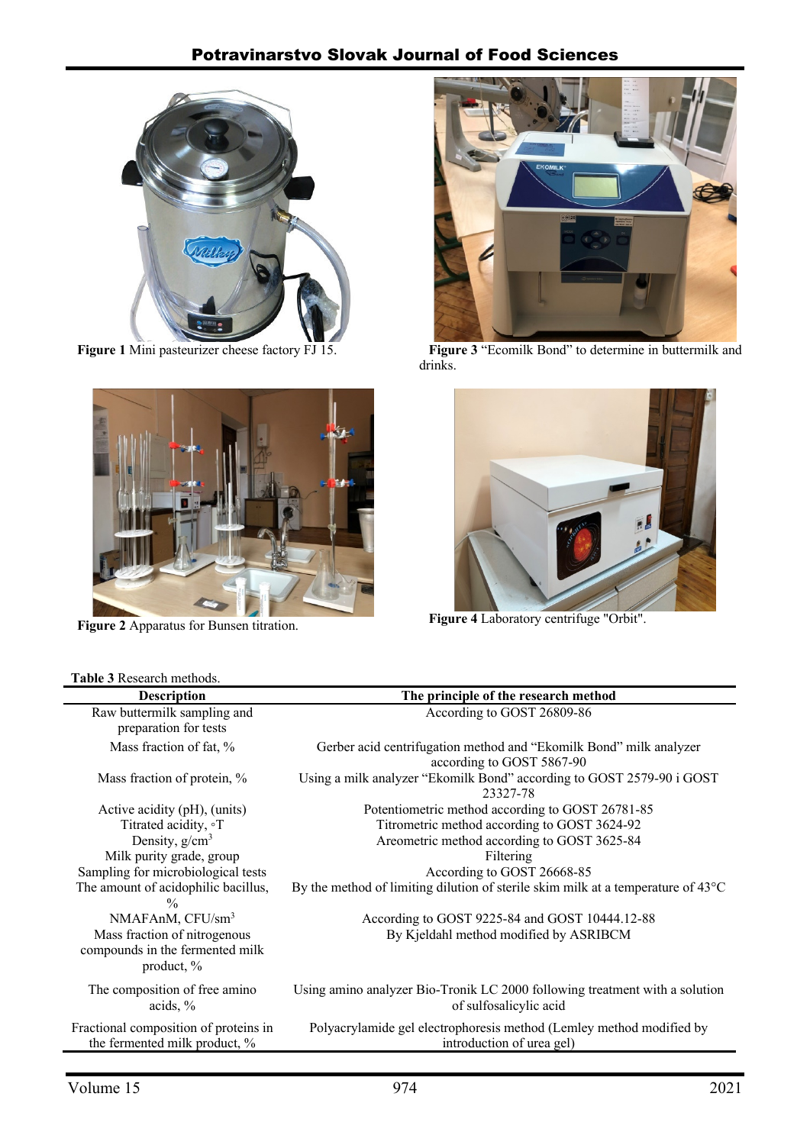

**Figure 1** Mini pasteurizer cheese factory FJ 15.



**Figure 2** Apparatus for Bunsen titration.

# **Table 3** Research methods.



**Figure 3** "Ecomilk Bond" to determine in buttermilk and drinks.



**Figure 4** Laboratory centrifuge "Orbit".

| <b>Table 5</b> Research memods.       |                                                                                            |
|---------------------------------------|--------------------------------------------------------------------------------------------|
| <b>Description</b>                    | The principle of the research method                                                       |
| Raw buttermilk sampling and           | According to GOST 26809-86                                                                 |
| preparation for tests                 |                                                                                            |
| Mass fraction of fat, %               | Gerber acid centrifugation method and "Ekomilk Bond" milk analyzer                         |
|                                       | according to GOST 5867-90                                                                  |
| Mass fraction of protein, %           | Using a milk analyzer "Ekomilk Bond" according to GOST 2579-90 i GOST                      |
|                                       | 23327-78                                                                                   |
| Active acidity (pH), (units)          | Potentiometric method according to GOST 26781-85                                           |
| Titrated acidity, °T                  | Titrometric method according to GOST 3624-92                                               |
| Density, $g/cm^3$                     | Areometric method according to GOST 3625-84                                                |
| Milk purity grade, group              | Filtering                                                                                  |
| Sampling for microbiological tests    | According to GOST 26668-85                                                                 |
| The amount of acidophilic bacillus,   | By the method of limiting dilution of sterile skim milk at a temperature of $43^{\circ}$ C |
| $\frac{0}{0}$                         |                                                                                            |
| NMAFAnM, CFU/sm <sup>3</sup>          | According to GOST 9225-84 and GOST 10444.12-88                                             |
| Mass fraction of nitrogenous          | By Kjeldahl method modified by ASRIBCM                                                     |
| compounds in the fermented milk       |                                                                                            |
| product, %                            |                                                                                            |
| The composition of free amino         | Using amino analyzer Bio-Tronik LC 2000 following treatment with a solution                |
| acids, $%$                            | of sulfosalicylic acid                                                                     |
| Fractional composition of proteins in | Polyacrylamide gel electrophoresis method (Lemley method modified by                       |
| the fermented milk product, %         | introduction of urea gel)                                                                  |
|                                       |                                                                                            |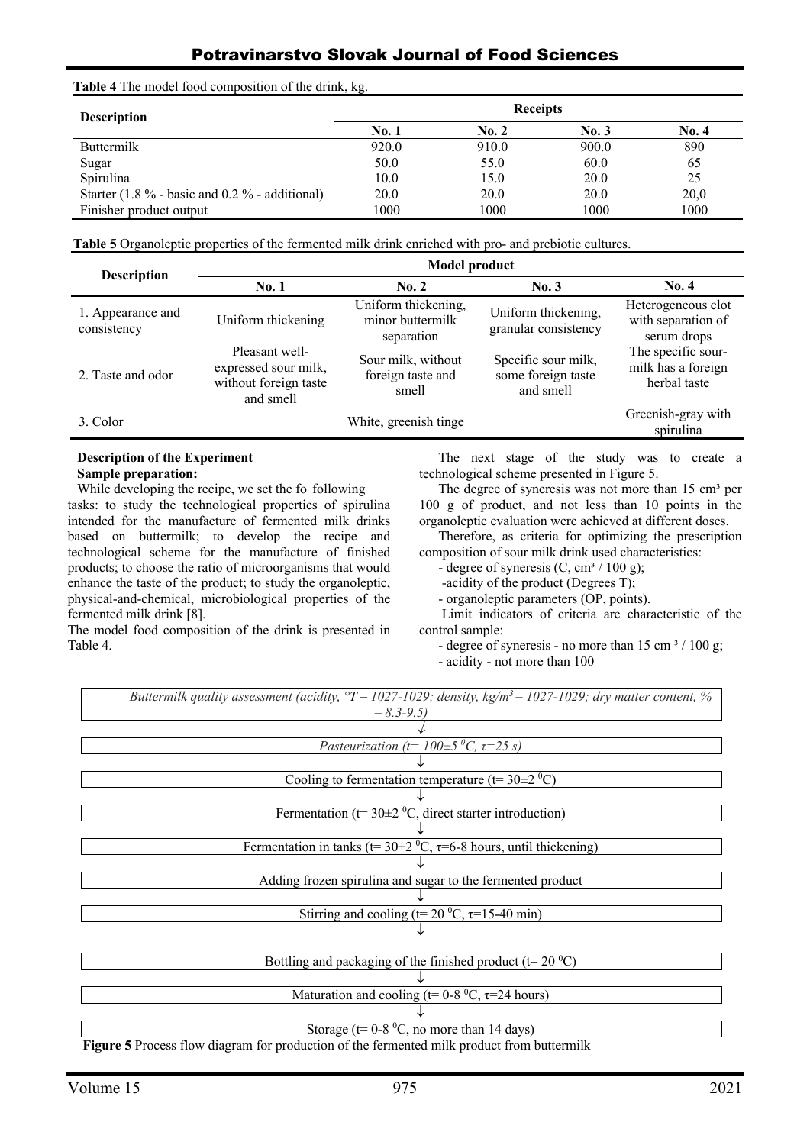# Potravinarstvo Slovak Journal of Food Sciences

**Table 4** The model food composition of the drink, kg.

| <b>Description</b>                                 |       | <b>Receipts</b> |       |       |
|----------------------------------------------------|-------|-----------------|-------|-------|
|                                                    | No. 1 | <b>No. 2</b>    | No. 3 | No. 4 |
| Buttermilk                                         | 920.0 | 910.0           | 900.0 | 890   |
| Sugar                                              | 50.0  | 55.0            | 60.0  | 65    |
| Spirulina                                          | 10.0  | 15.0            | 20.0  | 25    |
| Starter $(1.8\%$ - basic and $0.2\%$ - additional) | 20.0  | 20.0            | 20.0  | 20,0  |
| Finisher product output                            | 1000  | 1000            | 1000  | 1000  |

**Table 5** Organoleptic properties of the fermented milk drink enriched with pro- and prebiotic cultures.

| <b>Description</b>               | <b>Model product</b>                                                         |                                                       |                                                        |                                                          |  |
|----------------------------------|------------------------------------------------------------------------------|-------------------------------------------------------|--------------------------------------------------------|----------------------------------------------------------|--|
|                                  | <b>No. 1</b>                                                                 | No. 2                                                 | No. 3                                                  | No. 4                                                    |  |
| 1. Appearance and<br>consistency | Uniform thickening                                                           | Uniform thickening,<br>minor buttermilk<br>separation | Uniform thickening,<br>granular consistency            | Heterogeneous clot<br>with separation of<br>serum drops  |  |
| 2. Taste and odor                | Pleasant well-<br>expressed sour milk,<br>without foreign taste<br>and smell | Sour milk, without<br>foreign taste and<br>smell      | Specific sour milk,<br>some foreign taste<br>and smell | The specific sour-<br>milk has a foreign<br>herbal taste |  |
| 3. Color                         |                                                                              | White, greenish tinge                                 |                                                        | Greenish-gray with<br>spirulina                          |  |

# **Description of the Experiment**

**Sample preparation:**

While developing the recipe, we set the fo following tasks: to study the technological properties of spirulina intended for the manufacture of fermented milk drinks based on buttermilk; to develop the recipe and technological scheme for the manufacture of finished products; to choose the ratio of microorganisms that would enhance the taste of the product; to study the organoleptic, physical-and-chemical, microbiological properties of the fermented milk drink [8].

The model food composition of the drink is presented in Table 4.

The next stage of the study was to create a technological scheme presented in Figure 5.

The degree of syneresis was not more than  $15 \text{ cm}^3$  per 100 g of product, and not less than 10 points in the organoleptic evaluation were achieved at different doses.

Therefore, as criteria for optimizing the prescription composition of sour milk drink used characteristics:

- degree of syneresis  $(C, cm<sup>3</sup> / 100 g)$ ;

-acidity of the product (Degrees T);

- organoleptic parameters (OP, points).

Limit indicators of criteria are characteristic of the control sample:

- degree of syneresis - no more than  $15 \text{ cm}^3 / 100 \text{ g}$ ;

- acidity - not more than 100

*Buttermilk quality assessment (acidity, °Т – 1027-1029; density, kg/m3 – 1027-1029; dry matter content, % – 8.3-9.5)* 

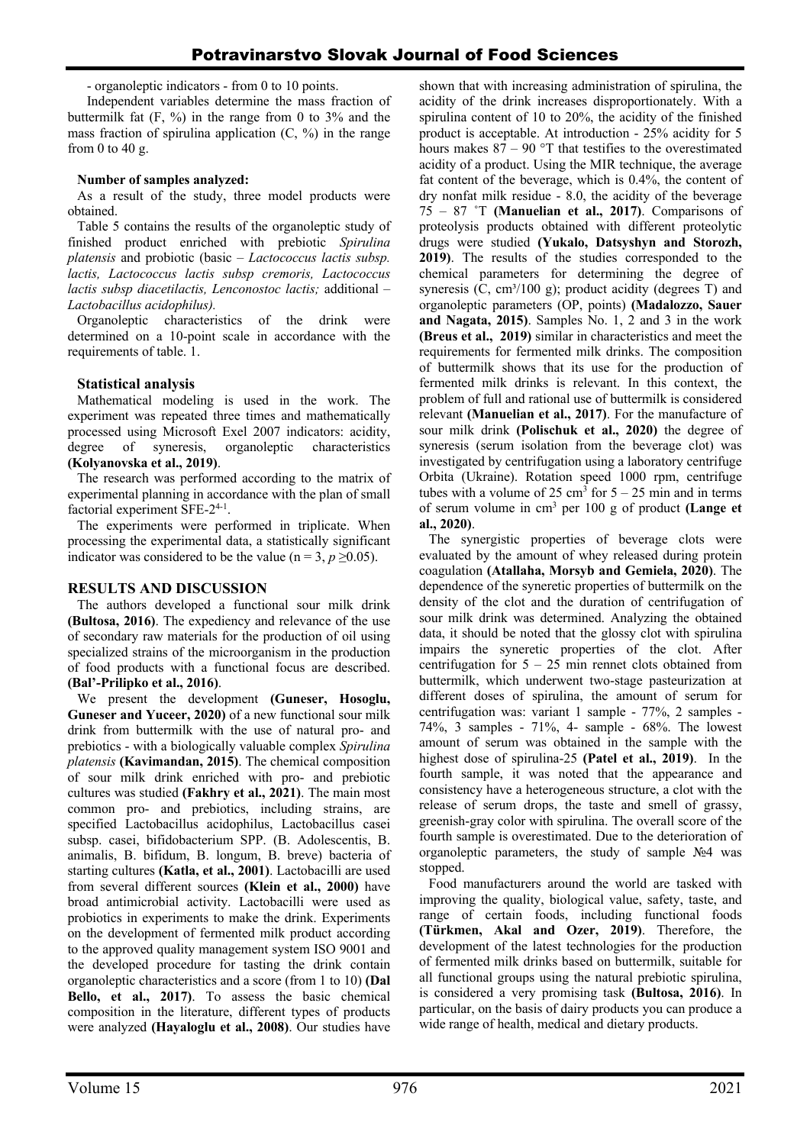- organoleptic indicators - from 0 to 10 points.

Independent variables determine the mass fraction of buttermilk fat  $(F, \%)$  in the range from 0 to 3% and the mass fraction of spirulina application  $(C, \%)$  in the range from 0 to 40 g.

### **Number of samples analyzed:**

As a result of the study, three model products were obtained.

Table 5 contains the results of the organoleptic study of finished product enriched with prebiotic *Spirulina platensis* and probiotic (basic – *Lactococcus lactis subsp. lactis, Lactococcus lactis subsp cremoris, Lactococcus lactis subsp diacetilactis, Lenconostoc lactis;* additional *– Lactobacillus acidophilus).*

Organoleptic characteristics of the drink were determined on a 10-point scale in accordance with the requirements of table. 1.

### **Statistical analysis**

Mathematical modeling is used in the work. The experiment was repeated three times and mathematically processed using Microsoft Exel 2007 indicators: acidity, degree of syneresis, organoleptic characteristics **(Kolyanovska et al., 2019)**.

The research was performed according to the matrix of experimental planning in accordance with the plan of small factorial experiment SFE-2<sup>4-1</sup>.

The experiments were performed in triplicate. When processing the experimental data, a statistically significant indicator was considered to be the value ( $n = 3$ ,  $p \ge 0.05$ ).

# **RESULTS AND DISCUSSION**

The authors developed a functional sour milk drink **(Bultosa, 2016)**. The expediency and relevance of the use of secondary raw materials for the production of oil using specialized strains of the microorganism in the production of food products with a functional focus are described. **(Bal'-Prilipko et al., 2016)**.

We present the development **(Guneser, Hosoglu, Guneser and Yuceer, 2020)** of a new functional sour milk drink from buttermilk with the use of natural pro- and prebiotics - with a biologically valuable complex *Spirulina platensis* **(Kavimandan, 2015)**. The chemical composition of sour milk drink enriched with pro- and prebiotic cultures was studied **(Fakhry et al., 2021)**. The main most common pro- and prebiotics, including strains, are specified Lactobacillus acidophilus, Lactobacillus casei subsp. casei, bifidobacterium SPP. (В. Adolescentis, В. animalis, B. bifidum, B. longum, B. breve) bacteria of starting cultures **(Katla, et al., 2001)**. Lactobacilli are used from several different sources **(Klein et al., 2000)** have broad antimicrobial activity. Lactobacilli were used as probiotics in experiments to make the drink. Experiments on the development of fermented milk product according to the approved quality management system ISO 9001 and the developed procedure for tasting the drink contain organoleptic characteristics and a score (from 1 to 10) **(Dal Bello, et al., 2017)**. To assess the basic chemical composition in the literature, different types of products were analyzed **(Hayaloglu et al., 2008)**. Our studies have shown that with increasing administration of spirulina, the acidity of the drink increases disproportionately. With a spirulina content of 10 to 20%, the acidity of the finished product is acceptable. At introduction - 25% acidity for 5 hours makes  $87 - 90$  °T that testifies to the overestimated acidity of a product. Using the MIR technique, the average fat content of the beverage, which is 0.4%, the content of dry nonfat milk residue - 8.0, the acidity of the beverage 75 – 87 ˚T **(Manuelian et al., 2017)**. Comparisons of proteolysis products obtained with different proteolytic drugs were studied **(Yukalo, Datsyshyn and Storozh, 2019)**. The results of the studies corresponded to the chemical parameters for determining the degree of syneresis  $(C, cm<sup>3</sup>/100 g)$ ; product acidity (degrees T) and organoleptic parameters (OP, points) **(Madalozzo, Sauer and Nagata, 2015)**. Samples No. 1, 2 and 3 in the work **(Breus et al., 2019)** similar in characteristics and meet the requirements for fermented milk drinks. The composition of buttermilk shows that its use for the production of fermented milk drinks is relevant. In this context, the problem of full and rational use of buttermilk is considered relevant **(Manuelian et al., 2017)**. For the manufacture of sour milk drink **(Polischuk et al., 2020)** the degree of syneresis (serum isolation from the beverage clot) was investigated by centrifugation using a laboratory centrifuge Orbita (Ukraine). Rotation speed 1000 rpm, centrifuge tubes with a volume of  $25 \text{ cm}^3$  for  $5 - 25 \text{ min}$  and in terms of serum volume in cm3 per 100 g of product **(Lange et al., 2020)**.

The synergistic properties of beverage clots were evaluated by the amount of whey released during protein coagulation **(Atallaha, Morsyb and Gemiela, 2020)**. The dependence of the syneretic properties of buttermilk on the density of the clot and the duration of centrifugation of sour milk drink was determined. Analyzing the obtained data, it should be noted that the glossy clot with spirulina impairs the syneretic properties of the clot. After centrifugation for  $5 - 25$  min rennet clots obtained from buttermilk, which underwent two-stage pasteurization at different doses of spirulina, the amount of serum for centrifugation was: variant 1 sample - 77%, 2 samples - 74%, 3 samples - 71%, 4- sample - 68%. The lowest amount of serum was obtained in the sample with the highest dose of spirulina-25 **(Patel et al., 2019)**. In the fourth sample, it was noted that the appearance and consistency have a heterogeneous structure, a clot with the release of serum drops, the taste and smell of grassy, greenish-gray color with spirulina. The overall score of the fourth sample is overestimated. Due to the deterioration of organoleptic parameters, the study of sample №4 was stopped.

Food manufacturers around the world are tasked with improving the quality, biological value, safety, taste, and range of certain foods, including functional foods **(Türkmen, Akal and Ozer, 2019)**. Therefore, the development of the latest technologies for the production of fermented milk drinks based on buttermilk, suitable for all functional groups using the natural prebiotic spirulina, is considered a very promising task **(Bultosa, 2016)**. In particular, on the basis of dairy products you can produce a wide range of health, medical and dietary products.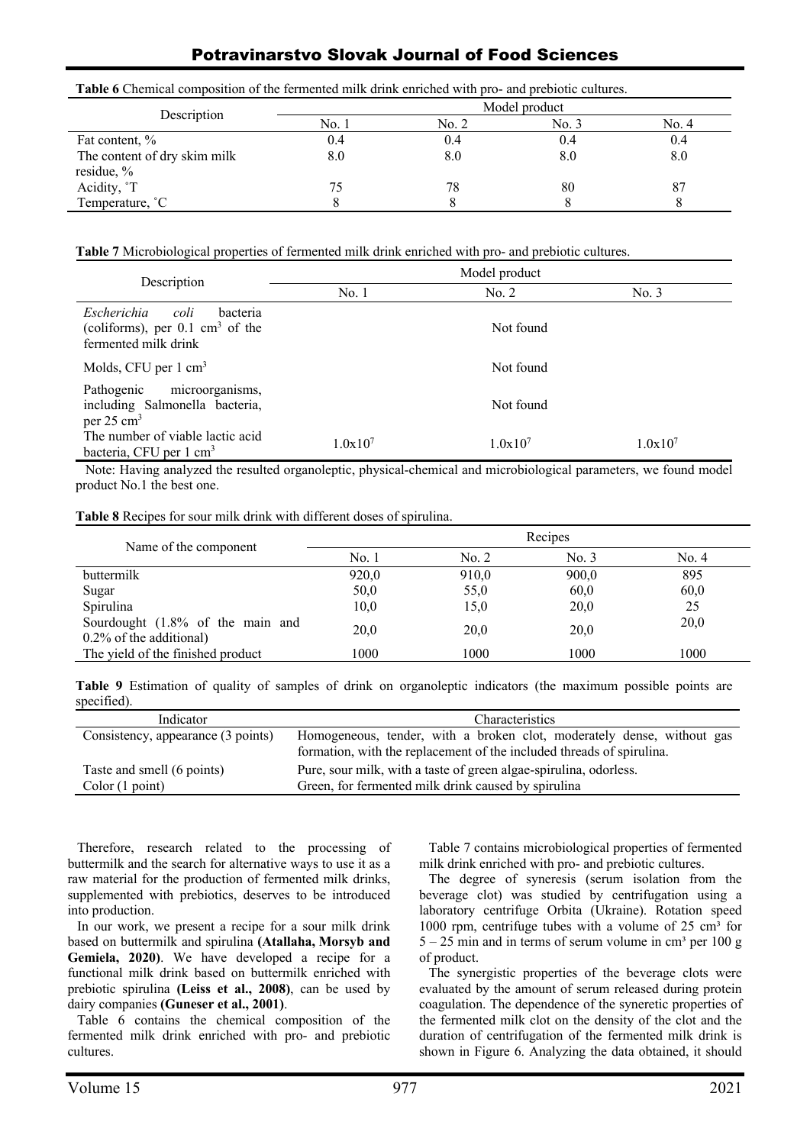**Table 6** Chemical composition of the fermented milk drink enriched with pro- and prebiotic cultures.

| Description                  | Model product |       |       |       |
|------------------------------|---------------|-------|-------|-------|
|                              | No. :         | No. 2 | No. 3 | No. 4 |
| Fat content, %               | U.4           | 0.4   | 0.4   | 0.4   |
| The content of dry skim milk | 8.0           | 8.0   | 8.0   | 8.0   |
| residue, $\%$                |               |       |       |       |
| Acidity, <sup>°</sup> T      | 75.           |       | 80    |       |
| Temperature, <sup>°</sup> C  |               |       |       |       |

**Table 7** Microbiological properties of fermented milk drink enriched with pro- and prebiotic cultures.

| Description                                                                                           | Model product |              |              |  |
|-------------------------------------------------------------------------------------------------------|---------------|--------------|--------------|--|
|                                                                                                       | No.1          | No. 2        | No. 3        |  |
| Escherichia<br>coli<br>bacteria<br>(coliforms), per $0.1 \text{ cm}^3$ of the<br>fermented milk drink |               | Not found    |              |  |
| Molds, CFU per $1 \text{ cm}^3$                                                                       |               | Not found    |              |  |
| microorganisms,<br>Pathogenic<br>including Salmonella bacteria,<br>per $25 \text{ cm}^3$              |               | Not found    |              |  |
| The number of viable lactic acid<br>bacteria, CFU per 1 cm <sup>3</sup>                               | $1.0x10^{7}$  | $1.0x10^{7}$ | $1.0x10^{7}$ |  |

Note: Having analyzed the resulted organoleptic, physical-chemical and microbiological parameters, we found model product No.1 the best one.

**Table 8** Recipes for sour milk drink with different doses of spirulina.

| Name of the component                                       | Recipes |       |       |       |
|-------------------------------------------------------------|---------|-------|-------|-------|
|                                                             | No. 1   | No. 2 | No. 3 | No. 4 |
| buttermilk                                                  | 920,0   | 910,0 | 900,0 | 895   |
| Sugar                                                       | 50,0    | 55,0  | 60,0  | 60,0  |
| Spirulina                                                   | 10,0    | 15,0  | 20,0  | 25    |
| Sourdought (1.8% of the main and<br>0.2% of the additional) | 20,0    | 20,0  | 20,0  | 20,0  |
| The yield of the finished product                           | 1000    | 1000  | 1000  | 1000  |

**Table 9** Estimation of quality of samples of drink on organoleptic indicators (the maximum possible points are specified).

| Indicator                                     | Characteristics                                                                                                                                 |
|-----------------------------------------------|-------------------------------------------------------------------------------------------------------------------------------------------------|
| Consistency, appearance (3 points)            | Homogeneous, tender, with a broken clot, moderately dense, without gas<br>formation, with the replacement of the included threads of spirulina. |
| Taste and smell (6 points)<br>Color (1 point) | Pure, sour milk, with a taste of green algae-spirulina, odorless.<br>Green, for fermented milk drink caused by spirulina                        |

Therefore, research related to the processing of buttermilk and the search for alternative ways to use it as a raw material for the production of fermented milk drinks, supplemented with prebiotics, deserves to be introduced into production.

In our work, we present a recipe for a sour milk drink based on buttermilk and spirulina **(Atallaha, Morsyb and Gemiela, 2020)**. We have developed a recipe for a functional milk drink based on buttermilk enriched with prebiotic spirulina **(Leiss et al., 2008)**, can be used by dairy companies **(Guneser et al., 2001)**.

Table 6 contains the chemical composition of the fermented milk drink enriched with pro- and prebiotic cultures.

Table 7 contains microbiological properties of fermented milk drink enriched with pro- and prebiotic cultures.

The degree of syneresis (serum isolation from the beverage clot) was studied by centrifugation using a laboratory centrifuge Orbita (Ukraine). Rotation speed 1000 rpm, centrifuge tubes with a volume of  $25 \text{ cm}^3$  for  $5 - 25$  min and in terms of serum volume in cm<sup>3</sup> per 100 g of product.

The synergistic properties of the beverage clots were evaluated by the amount of serum released during protein coagulation. The dependence of the syneretic properties of the fermented milk clot on the density of the clot and the duration of centrifugation of the fermented milk drink is shown in Figure 6. Analyzing the data obtained, it should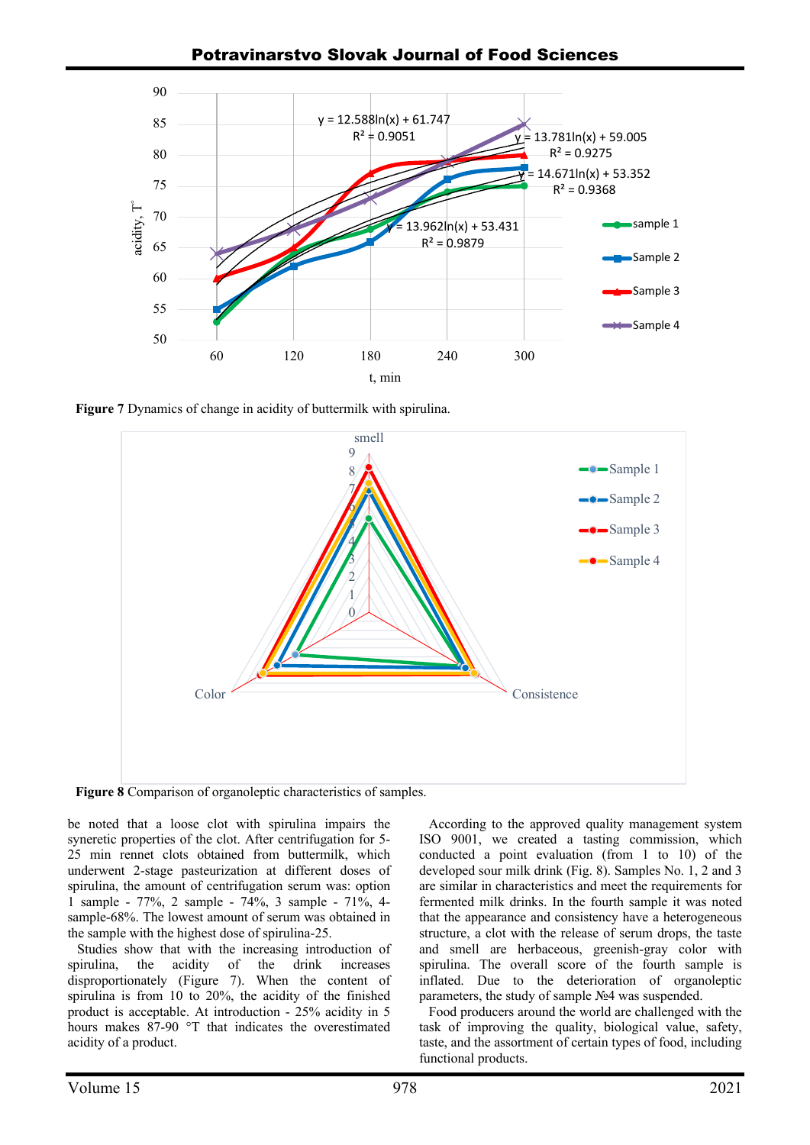

**Figure 7** Dynamics of change in acidity of buttermilk with spirulina.



**Figure 8** Comparison of organoleptic characteristics of samples.

be noted that a loose clot with spirulina impairs the syneretic properties of the clot. After centrifugation for 5- 25 min rennet clots obtained from buttermilk, which underwent 2-stage pasteurization at different doses of spirulina, the amount of centrifugation serum was: option 1 sample - 77%, 2 sample - 74%, 3 sample - 71%, 4 sample-68%. The lowest amount of serum was obtained in the sample with the highest dose of spirulina-25.

Studies show that with the increasing introduction of spirulina, the acidity of the drink increases disproportionately (Figure 7). When the content of spirulina is from 10 to 20%, the acidity of the finished product is acceptable. At introduction - 25% acidity in 5 hours makes 87-90 °T that indicates the overestimated acidity of a product.

According to the approved quality management system ISO 9001, we created a tasting commission, which conducted a point evaluation (from 1 to 10) of the developed sour milk drink (Fig. 8). Samples No. 1, 2 and 3 are similar in characteristics and meet the requirements for fermented milk drinks. In the fourth sample it was noted that the appearance and consistency have a heterogeneous structure, a clot with the release of serum drops, the taste and smell are herbaceous, greenish-gray color with spirulina. The overall score of the fourth sample is inflated. Due to the deterioration of organoleptic parameters, the study of sample №4 was suspended.

Food producers around the world are challenged with the task of improving the quality, biological value, safety, taste, and the assortment of certain types of food, including functional products.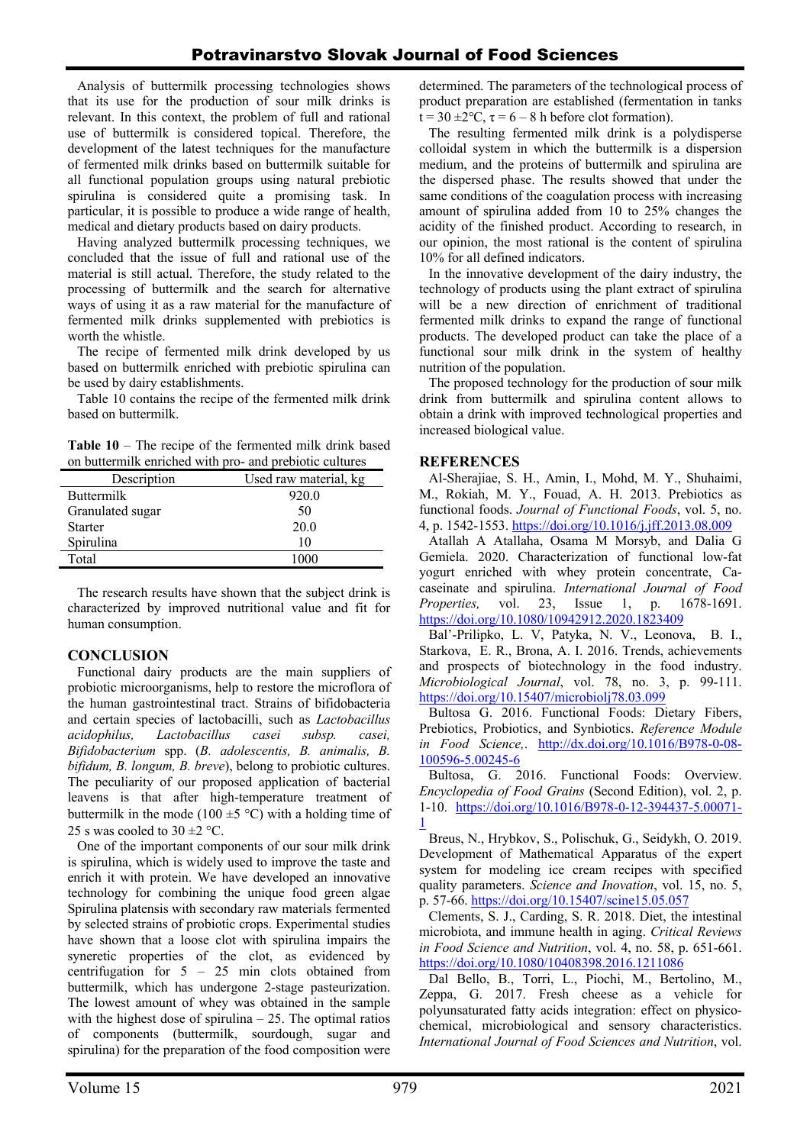Analysis of buttermilk processing technologies shows that its use for the production of sour milk drinks is relevant. In this context, the problem of full and rational use of buttermilk is considered topical. Therefore, the development of the latest techniques for the manufacture of fermented milk drinks based on buttermilk suitable for all functional population groups using natural prebiotic spirulina is considered quite a promising task. In particular, it is possible to produce a wide range of health, medical and dietary products based on dairy products.

Having analyzed buttermilk processing techniques, we concluded that the issue of full and rational use of the material is still actual. Therefore, the study related to the processing of buttermilk and the search for alternative ways of using it as a raw material for the manufacture of fermented milk drinks supplemented with prebiotics is worth the whistle.

The recipe of fermented milk drink developed by us based on buttermilk enriched with prebiotic spirulina can be used by dairy establishments.

Table 10 contains the recipe of the fermented milk drink based on buttermilk.

**Table 10** – The recipe of the fermented milk drink based on buttermilk enriched with pro- and prebiotic cultures

| Description       | Used raw material, kg |
|-------------------|-----------------------|
| <b>Buttermilk</b> | 920.0                 |
| Granulated sugar  | 50                    |
| <b>Starter</b>    | 20.0                  |
| Spirulina         | 10                    |
| Total             |                       |

The research results have shown that the subject drink is characterized by improved nutritional value and fit for human consumption.

# **CONCLUSION**

Functional dairy products are the main suppliers of probiotic microorganisms, help to restore the microflora of the human gastrointestinal tract. Strains of bifidobacteria and certain species of lactobacilli, such as *Lactobacillus acidophilus, Lactobacillus casei subsp. casei, Bifidobacterium* spp. (*B. adolescentis, B. animalis, B. bifidum, B. longum, B. breve*), belong to probiotic cultures. The peculiarity of our proposed application of bacterial leavens is that after high-temperature treatment of buttermilk in the mode (100  $\pm$ 5 °C) with a holding time of 25 s was cooled to  $30 \pm 2$  °C.

One of the important components of our sour milk drink is spirulina, which is widely used to improve the taste and enrich it with protein. We have developed an innovative technology for combining the unique food green algae Spirulina platensis with secondary raw materials fermented by selected strains of probiotic crops. Experimental studies have shown that a loose clot with spirulina impairs the syneretic properties of the clot, as evidenced by centrifugation for 5 – 25 min clots obtained from buttermilk, which has undergone 2-stage pasteurization. The lowest amount of whey was obtained in the sample with the highest dose of spirulina  $-25$ . The optimal ratios of components (buttermilk, sourdough, sugar and spirulina) for the preparation of the food composition were determined. The parameters of the technological process of product preparation are established (fermentation in tanks  $t = 30 \pm 2$ °C,  $\tau = 6 - 8$  h before clot formation).

The resulting fermented milk drink is a polydisperse colloidal system in which the buttermilk is a dispersion medium, and the proteins of buttermilk and spirulina are the dispersed phase. The results showed that under the same conditions of the coagulation process with increasing amount of spirulina added from 10 to 25% changes the acidity of the finished product. According to research, in our opinion, the most rational is the content of spirulina 10% for all defined indicators.

In the innovative development of the dairy industry, the technology of products using the plant extract of spirulina will be a new direction of enrichment of traditional fermented milk drinks to expand the range of functional products. The developed product can take the place of a functional sour milk drink in the system of healthy nutrition of the population.

The proposed technology for the production of sour milk drink from buttermilk and spirulina content allows to obtain a drink with improved technological properties and increased biological value.

# **REFERENCES**

Al‐Sherajiae, S. H., Amin, I., Mohd, M. Y., Shuhaimi, M., Rokiah, M. Y., Fouad, A. H. 2013. Prebiotics as functional foods. *Journal of Functional Foods*, vol. 5, no. 4, р. 1542-1553. https://doi.org/10.1016/j.jff.2013.08.009

Atallah A Atallaha, Osama M Morsyb, and Dalia G Gemiela. 2020. Characterization of functional low-fat yogurt enriched with whey protein concentrate, Cacaseinate and spirulina. *International Journal of Food Properties,* vol. 23, Issue 1, p. 1678-1691. https://doi.org/10.1080/10942912.2020.1823409

Bal'-Prilipko, L. V, Patyka, N. V., Leonova, B. I., Starkova, E. R., Brona, A. I. 2016. Trends, achievements and prospects of biotechnology in the food industry. *Microbiological Journal*, vol. 78, no. 3, р. 99-111. https://doi.org/10.15407/microbiolj78.03.099

Bultosa G. 2016. Functional Foods: Dietary Fibers, Prebiotics, Probiotics, and Synbiotics. *Reference Module in Food Science,*. http://dx.doi.org/10.1016/B978-0-08- 100596-5.00245-6

Bultosa, G. 2016. Functional Foods: Overview. *Encyclopedia of Food Grains* (Second Edition), vol. 2, p. 1-10. https://doi.org/10.1016/B978-0-12-394437-5.00071- 1

Breus, N., Hrybkov, S., Polischuk, G., Seidykh, O. 2019. Development of Mathematical Apparatus of the expert system for modeling ice cream recipes with specified quality parameters. *Science and Inovation*, vol. 15, no. 5, p. 57-66. https://doi.org/10.15407/scine15.05.057

Clements, S. J., Carding, S. R. 2018. Diet, the intestinal microbiota, and immune health in aging. *Critical Reviews in Food Science and Nutrition*, vol. 4, no. 58, p. 651-661. https://doi.org/10.1080/10408398.2016.1211086

Dal Bello, B., Torri, L., Piochi, M., Bertolino, M., Zeppa, G. 2017. Fresh cheese as a vehicle for polyunsaturated fatty acids integration: effect on physicochemical, microbiological and sensory characteristics. *International Journal of Food Sciences and Nutrition*, vol.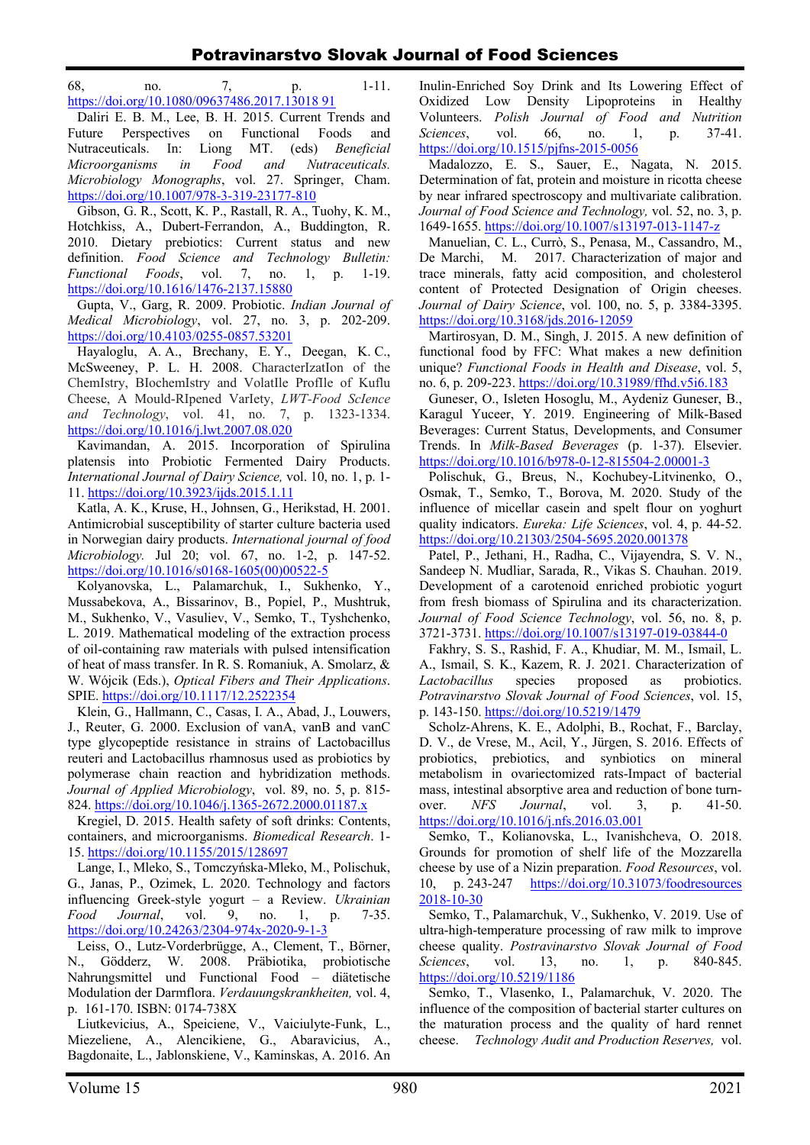68, no. 7, p. 1-11. https://doi.org/10.1080/09637486.2017.13018 91

Daliri E. B. M., Lee, B. H. 2015. Current Trends and Future Perspectives on Functional Foods and Nutraceuticals. In: Liong MT. (eds) *Beneficial Microorganisms in Food and Nutraceuticals. Microbiology Monographs*, vol. 27. Springer, Cham. https://doi.org/10.1007/978-3-319-23177-810

Gibson, G. R., Scott, K. P., Rastall, R. A., Tuohy, K. M., Hotchkiss, A., Dubert‐Ferrandon, A., Buddington, R. 2010. Dietary prebiotics: Current status and new definition. *Food Science and Technology Bulletin: Functional Foods*, vol. 7, no. 1, p. 1-19. https://doi.org/10.1616/1476-2137.15880

Gupta, V., Garg, R. 2009. Probiotic. *Indian Journal of Medical Microbiology*, vol. 27, no. 3, p. 202-209. https://doi.org/10.4103/0255-0857.53201

Hayaloglu, A. A., Brechany, E. Y., Deegan, K. C., McSweeney, P. L. H. 2008. CharacterIzatIon of the ChemIstry, BIochemIstry and VolatIle ProfIle of Kuflu Cheese, A Mould-RIpened VarIety, *LWT-Food ScIence and Technology*, vol. 41, no. 7, p. 1323-1334. https://doi.org/10.1016/j.lwt.2007.08.020

Kavimandan, A. 2015. Incorporation of Spirulina platensis into Probiotic Fermented Dairy Products. *International Journal of Dairy Science,* vol. 10, no. 1, p. 1- 11. https://doi.org/10.3923/ijds.2015.1.11

Katla, A. K., Kruse, H., Johnsen, G., Herikstad, H. 2001. Antimicrobial susceptibility of starter culture bacteria used in Norwegian dairy products. *International journal of food Microbiology.* Jul 20; vol. 67, no. 1-2, p. 147-52. https://doi.org/10.1016/s0168-1605(00)00522-5

Kolyanovska, L., Palamarchuk, I., Sukhenko, Y., Mussabekova, A., Bissarinov, B., Popiel, P., Mushtruk, M., Sukhenko, V., Vasuliev, V., Semko, T., Tyshchenko, L. 2019. Mathematical modeling of the extraction process of oil-containing raw materials with pulsed intensification of heat of mass transfer. In R. S. Romaniuk, A. Smolarz, & W. Wójcik (Eds.), *Optical Fibers and Their Applications*. SPIE. https://doi.org/10.1117/12.2522354

Klein, G., Hallmann, C., Casas, I. A., Abad, J., Louwers, J., Reuter, G. 2000. Exclusion of vanA, vanB and vanC type glycopeptide resistance in strains of Lactobacillus reuteri and Lactobacillus rhamnosus used as probiotics by polymerase chain reaction and hybridization methods. *Journal of Applied Microbiology*, vol. 89, no. 5, p. 815- 824. https://doi.org/10.1046/j.1365-2672.2000.01187.x

Kregiel, D. 2015. Health safety of soft drinks: Contents, containers, and microorganisms. *Biomedical Research*. 1- 15. https://doi.org/10.1155/2015/128697

Lange, I., Mleko, S., Tomczyńska-Mleko, M., Polischuk, G., Janas, P., Ozimek, L. 2020. Technology and factors influencing Greek-style yogurt – a Review. *Ukrainian Food Journal*, vol. 9, no. 1, p. 7-35. https://doi.org/10.24263/2304-974x-2020-9-1-3

Leiss, O., Lutz-Vorderbrügge, A., Clement, T., Börner, N., Gödderz, W. 2008. Präbiotika, probiotische Nahrungsmittel und Functional Food – diätetische Modulation der Darmflora. *Verdauungskrankheiten,* vol. 4, p. 161-170. ISBN: 0174-738X

Liutkevicius, A., Speiciene, V., Vaiciulyte-Funk, L., Miezeliene, A., Alencikiene, G., Abaravicius, A., Bagdonaite, L., Jablonskiene, V., Kaminskas, A. 2016. An Inulin-Enriched Soy Drink and Its Lowering Effect of Oxidized Low Density Lipoproteins in Healthy Volunteers. *Polish Journal of Food and Nutrition Sciences*, vol. 66, no. 1, p. 37-41. https://doi.org/10.1515/pjfns-2015-0056

Madalozzo, E. S., Sauer, E., Nagata, N. 2015. Determination of fat, protein and moisture in ricotta cheese by near infrared spectroscopy and multivariate calibration. *Journal of Food Science and Technology,* vol. 52, no. 3, p. 1649-1655. https://doi.org/10.1007/s13197-013-1147-z

Manuelian, C. L., Currò, S., Penasa, M., Cassandro, M., De Marchi, M. 2017. Characterization of major and trace minerals, fatty acid composition, and cholesterol content of Protected Designation of Origin cheeses. *Journal of Dairy Science*, vol. 100, no. 5, p. 3384-3395. https://doi.org/10.3168/jds.2016-12059

Martirosyan, D. M., Singh, J. 2015. A new definition of functional food by FFC: What makes a new definition unique? *Functional Foods in Health and Disease*, vol. 5, no. 6, p. 209-223. https://doi.org/10.31989/ffhd.v5i6.183

Guneser, O., Isleten Hosoglu, M., Aydeniz Guneser, B., Karagul Yuceer, Y. 2019. Engineering of Milk-Based Beverages: Current Status, Developments, and Consumer Trends. In *Milk-Based Beverages* (p. 1-37). Elsevier. https://doi.org/10.1016/b978-0-12-815504-2.00001-3

Polischuk, G., Breus, N., Kochubey-Litvinenko, O., Osmak, T., Semko, T., Borova, M. 2020. Study of the influence of micellar casein and spelt flour on yoghurt quality indicators. *Eureka: Life Sciences*, vol. 4, p. 44-52. https://doi.org/10.21303/2504-5695.2020.001378

Patel, P., Jethani, H., Radha, C., Vijayendra, S. V. N., Sandeep N. Mudliar, Sarada, R., Vikas S. Chauhan. 2019. Development of a carotenoid enriched probiotic yogurt from fresh biomass of Spirulina and its characterization. *Journal of Food Science Technology*, vol. 56, no. 8, p. 3721-3731. https://doi.org/10.1007/s13197-019-03844-0

Fakhry, S. S., Rashid, F. A., Khudiar, M. M., Ismail, L. A., Ismail, S. K., Kazem, R. J. 2021. Characterization of *Lactobacillus* species proposed as probiotics. *Potravinarstvo Slovak Journal of Food Sciences*, vol. 15, p. 143-150. https://doi.org/10.5219/1479

Scholz‐Ahrens, K. E., Adolphi, B., Rochat, F., Barclay, D. V., de Vrese, M., Acil, Y., Jürgen, S. 2016. Effects of probiotics, prebiotics, and synbiotics on mineral metabolism in ovariectomized rats-Impact of bacterial mass, intestinal absorptive area and reduction of bone turnover. *NFS Journal*, vol. 3, p. 41-50. https://doi.org/10.1016/j.nfs.2016.03.001

Semko, T., Kolianovska, L., Ivanishcheva, O. 2018. Grounds for promotion of shelf life of the Mozzarella cheese by use of a Nizin preparation. *Food Resources*, vol. 10, р. 243-247 https://doi.org/10.31073/foodresources 2018-10-30

Semko, T., Palamarchuk, V., Sukhenko, V. 2019. Use of ultra-high-temperature processing of raw milk to improve cheese quality. *Postravinarstvo Slovak Journal of Food Sciences*, vol. 13, no. 1, p. 840-845. https://doi.org/10.5219/1186

Semko, T., Vlasenko, I., Palamarchuk, V. 2020. Тhe influence of the composition of bacterial starter cultures on the maturation process and the quality of hard rennet cheese. *Тechnology Audit and Production Reserves,* vol.